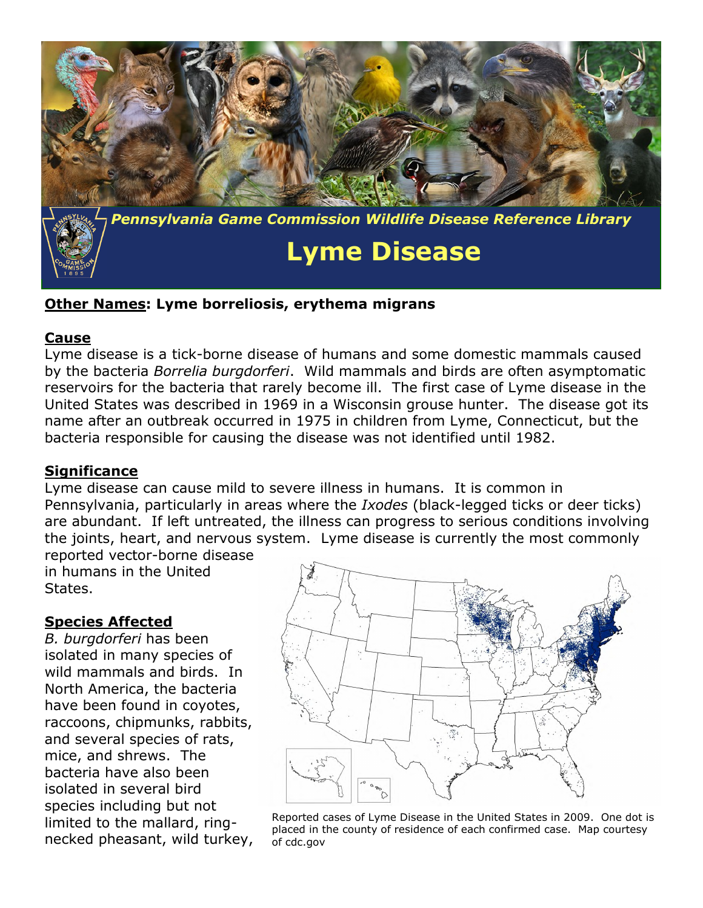

## **Other Names: Lyme borreliosis, erythema migrans**

#### **Cause**

Lyme disease is a tick-borne disease of humans and some domestic mammals caused by the bacteria *Borrelia burgdorferi*. Wild mammals and birds are often asymptomatic reservoirs for the bacteria that rarely become ill. The first case of Lyme disease in the United States was described in 1969 in a Wisconsin grouse hunter. The disease got its name after an outbreak occurred in 1975 in children from Lyme, Connecticut, but the bacteria responsible for causing the disease was not identified until 1982.

### **Significance**

Lyme disease can cause mild to severe illness in humans. It is common in Pennsylvania, particularly in areas where the *Ixodes* (black-legged ticks or deer ticks) are abundant. If left untreated, the illness can progress to serious conditions involving the joints, heart, and nervous system. Lyme disease is currently the most commonly reported vector-borne disease

in humans in the United States.

### **Species Affected**

*B. burgdorferi* has been isolated in many species of wild mammals and birds. In North America, the bacteria have been found in coyotes, raccoons, chipmunks, rabbits, and several species of rats, mice, and shrews. The bacteria have also been isolated in several bird species including but not limited to the mallard, ringnecked pheasant, wild turkey,



Reported cases of Lyme Disease in the United States in 2009. One dot is placed in the county of residence of each confirmed case. Map courtesy of cdc.gov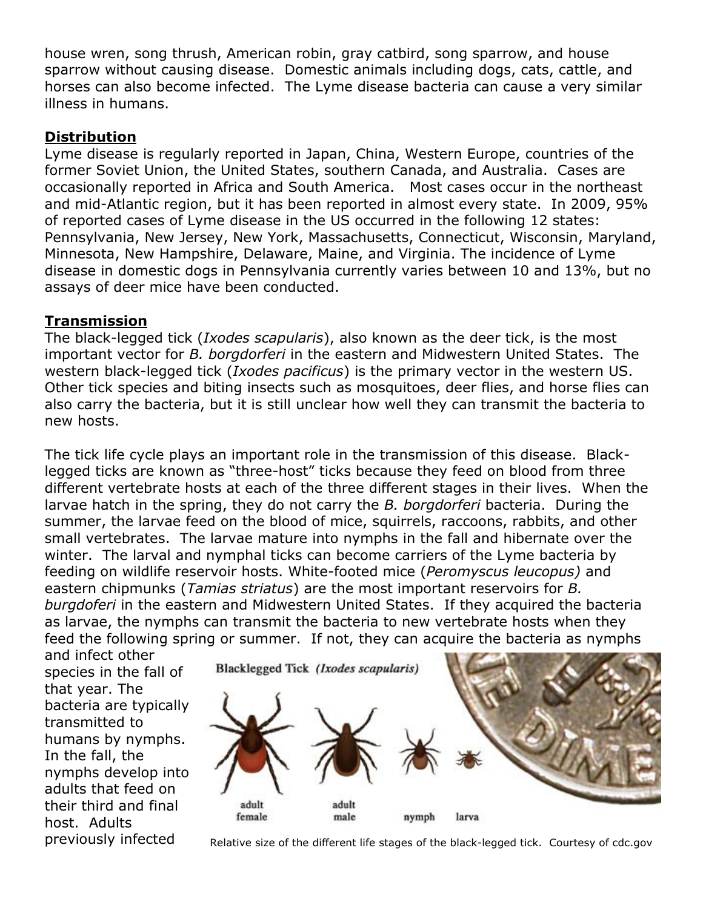house wren, song thrush, American robin, gray catbird, song sparrow, and house sparrow without causing disease. Domestic animals including dogs, cats, cattle, and horses can also become infected. The Lyme disease bacteria can cause a very similar illness in humans.

# **Distribution**

Lyme disease is regularly reported in Japan, China, Western Europe, countries of the former Soviet Union, the United States, southern Canada, and Australia. Cases are occasionally reported in Africa and South America. Most cases occur in the northeast and mid-Atlantic region, but it has been reported in almost every state. In 2009, 95% of reported cases of Lyme disease in the US occurred in the following 12 states: Pennsylvania, New Jersey, New York, Massachusetts, Connecticut, Wisconsin, Maryland, Minnesota, New Hampshire, Delaware, Maine, and Virginia. The incidence of Lyme disease in domestic dogs in Pennsylvania currently varies between 10 and 13%, but no assays of deer mice have been conducted.

# **Transmission**

The black-legged tick (*Ixodes scapularis*), also known as the deer tick, is the most important vector for *B. borgdorferi* in the eastern and Midwestern United States. The western black-legged tick (*Ixodes pacificus*) is the primary vector in the western US. Other tick species and biting insects such as mosquitoes, deer flies, and horse flies can also carry the bacteria, but it is still unclear how well they can transmit the bacteria to new hosts.

The tick life cycle plays an important role in the transmission of this disease. Blacklegged ticks are known as "three-host" ticks because they feed on blood from three different vertebrate hosts at each of the three different stages in their lives. When the larvae hatch in the spring, they do not carry the *B. borgdorferi* bacteria. During the summer, the larvae feed on the blood of mice, squirrels, raccoons, rabbits, and other small vertebrates. The larvae mature into nymphs in the fall and hibernate over the winter. The larval and nymphal ticks can become carriers of the Lyme bacteria by feeding on wildlife reservoir hosts. White-footed mice (*Peromyscus leucopus)* and eastern chipmunks (*Tamias striatus*) are the most important reservoirs for *B. burgdoferi* in the eastern and Midwestern United States. If they acquired the bacteria as larvae, the nymphs can transmit the bacteria to new vertebrate hosts when they feed the following spring or summer. If not, they can acquire the bacteria as nymphs

and infect other species in the fall of that year. The bacteria are typically transmitted to humans by nymphs. In the fall, the nymphs develop into adults that feed on their third and final host. Adults



previously infected Relative size of the different life stages of the black-legged tick. Courtesy of cdc.gov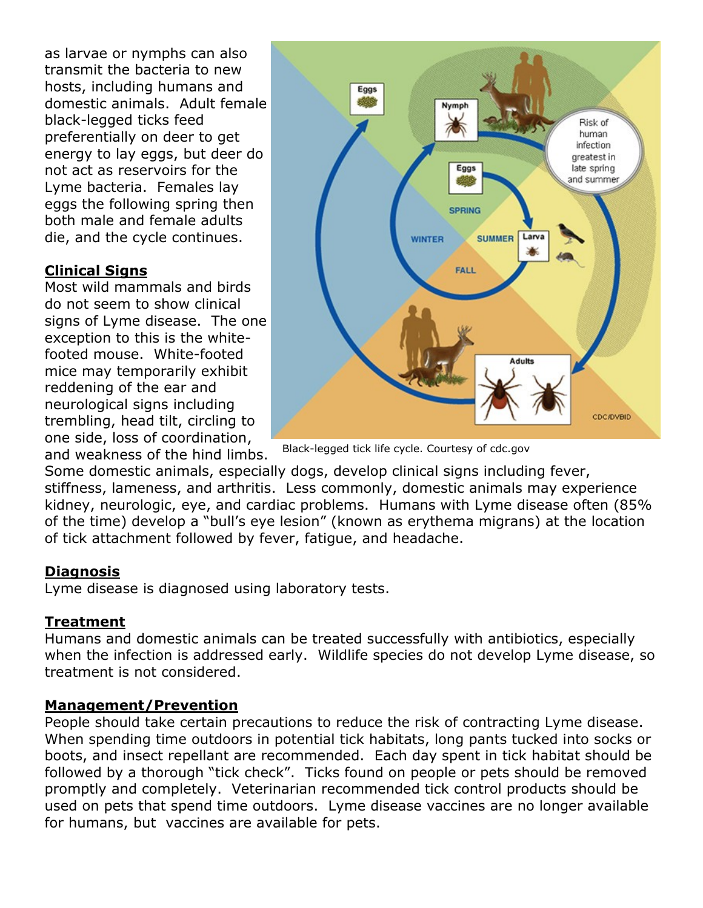as larvae or nymphs can also transmit the bacteria to new hosts, including humans and domestic animals. Adult female black-legged ticks feed preferentially on deer to get energy to lay eggs, but deer do not act as reservoirs for the Lyme bacteria. Females lay eggs the following spring then both male and female adults die, and the cycle continues.

# **Clinical Signs**

Most wild mammals and birds do not seem to show clinical signs of Lyme disease. The one exception to this is the whitefooted mouse. White-footed mice may temporarily exhibit reddening of the ear and neurological signs including trembling, head tilt, circling to one side, loss of coordination, and weakness of the hind limbs.



Black-legged tick life cycle. Courtesy of cdc.gov

Some domestic animals, especially dogs, develop clinical signs including fever, stiffness, lameness, and arthritis. Less commonly, domestic animals may experience kidney, neurologic, eye, and cardiac problems. Humans with Lyme disease often (85% of the time) develop a "bull's eye lesion" (known as erythema migrans) at the location of tick attachment followed by fever, fatigue, and headache.

## **Diagnosis**

Lyme disease is diagnosed using laboratory tests.

# **Treatment**

Humans and domestic animals can be treated successfully with antibiotics, especially when the infection is addressed early. Wildlife species do not develop Lyme disease, so treatment is not considered.

## **Management/Prevention**

People should take certain precautions to reduce the risk of contracting Lyme disease. When spending time outdoors in potential tick habitats, long pants tucked into socks or boots, and insect repellant are recommended. Each day spent in tick habitat should be followed by a thorough "tick check". Ticks found on people or pets should be removed promptly and completely. Veterinarian recommended tick control products should be used on pets that spend time outdoors. Lyme disease vaccines are no longer available for humans, but vaccines are available for pets.